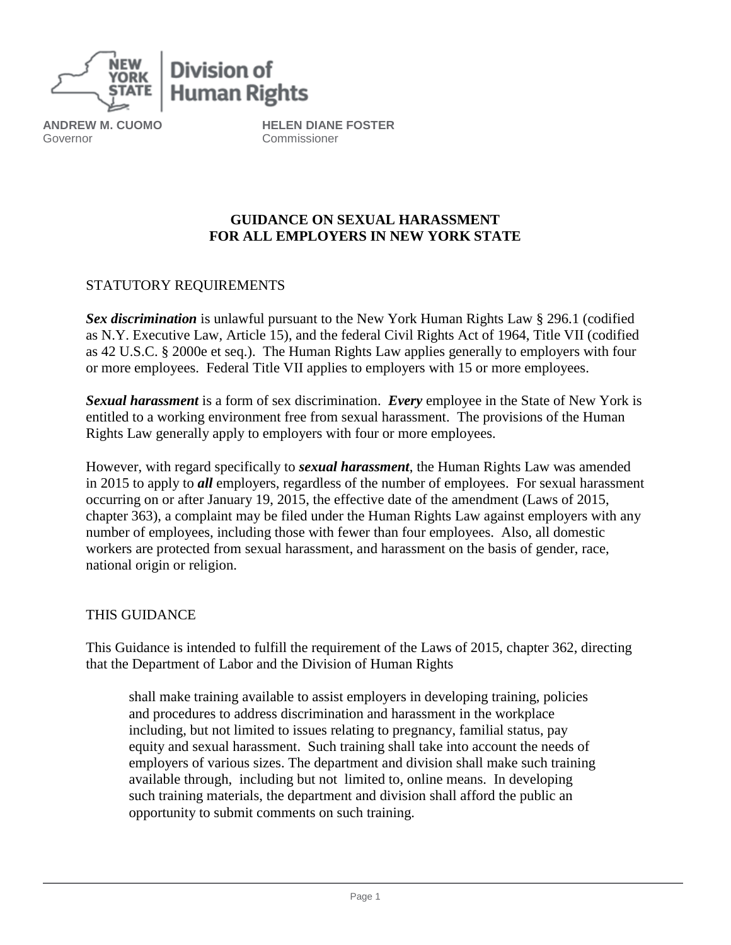

**ANDREW M. CUOMO** Governor

**HELEN DIANE FOSTER** Commissioner

## **GUIDANCE ON SEXUAL HARASSMENT FOR ALL EMPLOYERS IN NEW YORK STATE**

## STATUTORY REQUIREMENTS

*Sex discrimination* is unlawful pursuant to the New York Human Rights Law § 296.1 (codified as N.Y. Executive Law, Article 15), and the federal Civil Rights Act of 1964, Title VII (codified as 42 U.S.C. § 2000e et seq.). The Human Rights Law applies generally to employers with four or more employees. Federal Title VII applies to employers with 15 or more employees.

*Sexual harassment* is a form of sex discrimination. *Every* employee in the State of New York is entitled to a working environment free from sexual harassment. The provisions of the Human Rights Law generally apply to employers with four or more employees.

However, with regard specifically to *sexual harassment*, the Human Rights Law was amended in 2015 to apply to *all* employers, regardless of the number of employees. For sexual harassment occurring on or after January 19, 2015, the effective date of the amendment (Laws of 2015, chapter 363), a complaint may be filed under the Human Rights Law against employers with any number of employees, including those with fewer than four employees. Also, all domestic workers are protected from sexual harassment, and harassment on the basis of gender, race, national origin or religion.

### THIS GUIDANCE

This Guidance is intended to fulfill the requirement of the Laws of 2015, chapter 362, directing that the Department of Labor and the Division of Human Rights

shall make training available to assist employers in developing training, policies and procedures to address discrimination and harassment in the workplace including, but not limited to issues relating to pregnancy, familial status, pay equity and sexual harassment. Such training shall take into account the needs of employers of various sizes. The department and division shall make such training available through, including but not limited to, online means. In developing such training materials, the department and division shall afford the public an opportunity to submit comments on such training.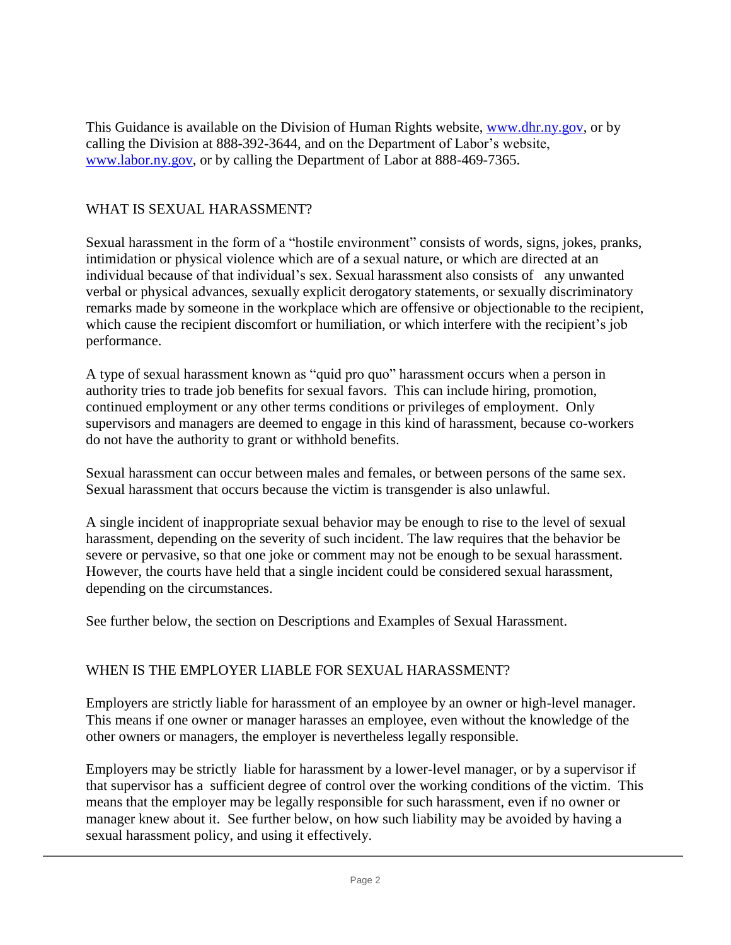This Guidance is available on the Division of Human Rights website, [www.dhr.ny.gov,](http://www.dhr.ny.gov/) or by calling the Division at 888-392-3644, and on the Department of Labor's website, [www.labor.ny.gov,](http://www.labor.ny.gov/) or by calling the Department of Labor at 888-469-7365.

# WHAT IS SEXUAL HARASSMENT?

Sexual harassment in the form of a "hostile environment" consists of words, signs, jokes, pranks, intimidation or physical violence which are of a sexual nature, or which are directed at an individual because of that individual's sex. Sexual harassment also consists of any unwanted verbal or physical advances, sexually explicit derogatory statements, or sexually discriminatory remarks made by someone in the workplace which are offensive or objectionable to the recipient, which cause the recipient discomfort or humiliation, or which interfere with the recipient's job performance.

A type of sexual harassment known as "quid pro quo" harassment occurs when a person in authority tries to trade job benefits for sexual favors. This can include hiring, promotion, continued employment or any other terms conditions or privileges of employment. Only supervisors and managers are deemed to engage in this kind of harassment, because co-workers do not have the authority to grant or withhold benefits.

Sexual harassment can occur between males and females, or between persons of the same sex. Sexual harassment that occurs because the victim is transgender is also unlawful.

A single incident of inappropriate sexual behavior may be enough to rise to the level of sexual harassment, depending on the severity of such incident. The law requires that the behavior be severe or pervasive, so that one joke or comment may not be enough to be sexual harassment. However, the courts have held that a single incident could be considered sexual harassment, depending on the circumstances.

See further below, the section on Descriptions and Examples of Sexual Harassment.

### WHEN IS THE EMPLOYER LIABLE FOR SEXUAL HARASSMENT?

Employers are strictly liable for harassment of an employee by an owner or high-level manager. This means if one owner or manager harasses an employee, even without the knowledge of the other owners or managers, the employer is nevertheless legally responsible.

Employers may be strictly liable for harassment by a lower-level manager, or by a supervisor if that supervisor has a sufficient degree of control over the working conditions of the victim. This means that the employer may be legally responsible for such harassment, even if no owner or manager knew about it. See further below, on how such liability may be avoided by having a sexual harassment policy, and using it effectively.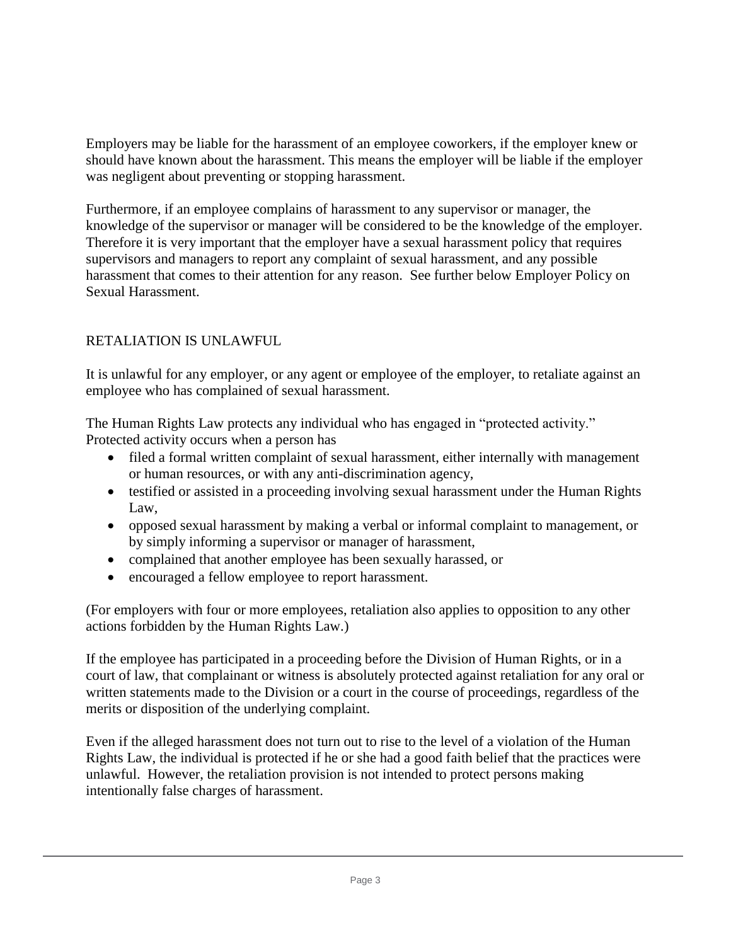Employers may be liable for the harassment of an employee coworkers, if the employer knew or should have known about the harassment. This means the employer will be liable if the employer was negligent about preventing or stopping harassment.

Furthermore, if an employee complains of harassment to any supervisor or manager, the knowledge of the supervisor or manager will be considered to be the knowledge of the employer. Therefore it is very important that the employer have a sexual harassment policy that requires supervisors and managers to report any complaint of sexual harassment, and any possible harassment that comes to their attention for any reason. See further below Employer Policy on Sexual Harassment.

# RETALIATION IS UNLAWFUL

It is unlawful for any employer, or any agent or employee of the employer, to retaliate against an employee who has complained of sexual harassment.

The Human Rights Law protects any individual who has engaged in "protected activity." Protected activity occurs when a person has

- filed a formal written complaint of sexual harassment, either internally with management or human resources, or with any anti-discrimination agency,
- testified or assisted in a proceeding involving sexual harassment under the Human Rights Law,
- opposed sexual harassment by making a verbal or informal complaint to management, or by simply informing a supervisor or manager of harassment,
- complained that another employee has been sexually harassed, or
- encouraged a fellow employee to report harassment.

(For employers with four or more employees, retaliation also applies to opposition to any other actions forbidden by the Human Rights Law.)

If the employee has participated in a proceeding before the Division of Human Rights, or in a court of law, that complainant or witness is absolutely protected against retaliation for any oral or written statements made to the Division or a court in the course of proceedings, regardless of the merits or disposition of the underlying complaint.

Even if the alleged harassment does not turn out to rise to the level of a violation of the Human Rights Law, the individual is protected if he or she had a good faith belief that the practices were unlawful. However, the retaliation provision is not intended to protect persons making intentionally false charges of harassment.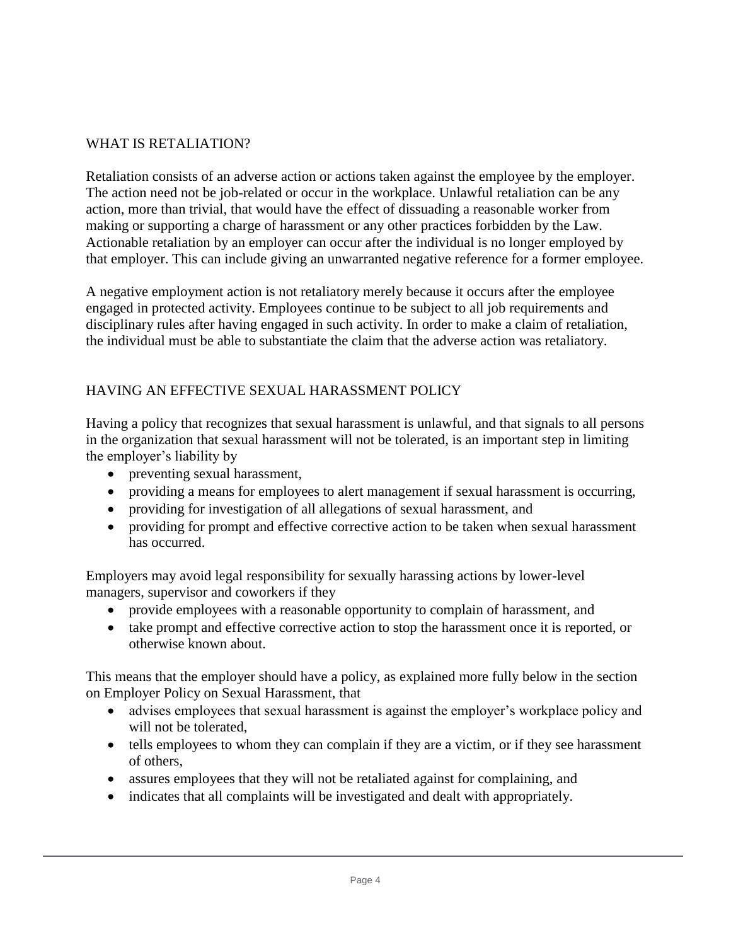# WHAT IS RETALIATION?

Retaliation consists of an adverse action or actions taken against the employee by the employer. The action need not be job-related or occur in the workplace. Unlawful retaliation can be any action, more than trivial, that would have the effect of dissuading a reasonable worker from making or supporting a charge of harassment or any other practices forbidden by the Law. Actionable retaliation by an employer can occur after the individual is no longer employed by that employer. This can include giving an unwarranted negative reference for a former employee.

A negative employment action is not retaliatory merely because it occurs after the employee engaged in protected activity. Employees continue to be subject to all job requirements and disciplinary rules after having engaged in such activity. In order to make a claim of retaliation, the individual must be able to substantiate the claim that the adverse action was retaliatory.

## HAVING AN EFFECTIVE SEXUAL HARASSMENT POLICY

Having a policy that recognizes that sexual harassment is unlawful, and that signals to all persons in the organization that sexual harassment will not be tolerated, is an important step in limiting the employer's liability by

- preventing sexual harassment,
- providing a means for employees to alert management if sexual harassment is occurring,
- providing for investigation of all allegations of sexual harassment, and
- providing for prompt and effective corrective action to be taken when sexual harassment has occurred.

Employers may avoid legal responsibility for sexually harassing actions by lower-level managers, supervisor and coworkers if they

- provide employees with a reasonable opportunity to complain of harassment, and
- take prompt and effective corrective action to stop the harassment once it is reported, or otherwise known about.

This means that the employer should have a policy, as explained more fully below in the section on Employer Policy on Sexual Harassment, that

- advises employees that sexual harassment is against the employer's workplace policy and will not be tolerated,
- tells employees to whom they can complain if they are a victim, or if they see harassment of others,
- assures employees that they will not be retaliated against for complaining, and
- indicates that all complaints will be investigated and dealt with appropriately.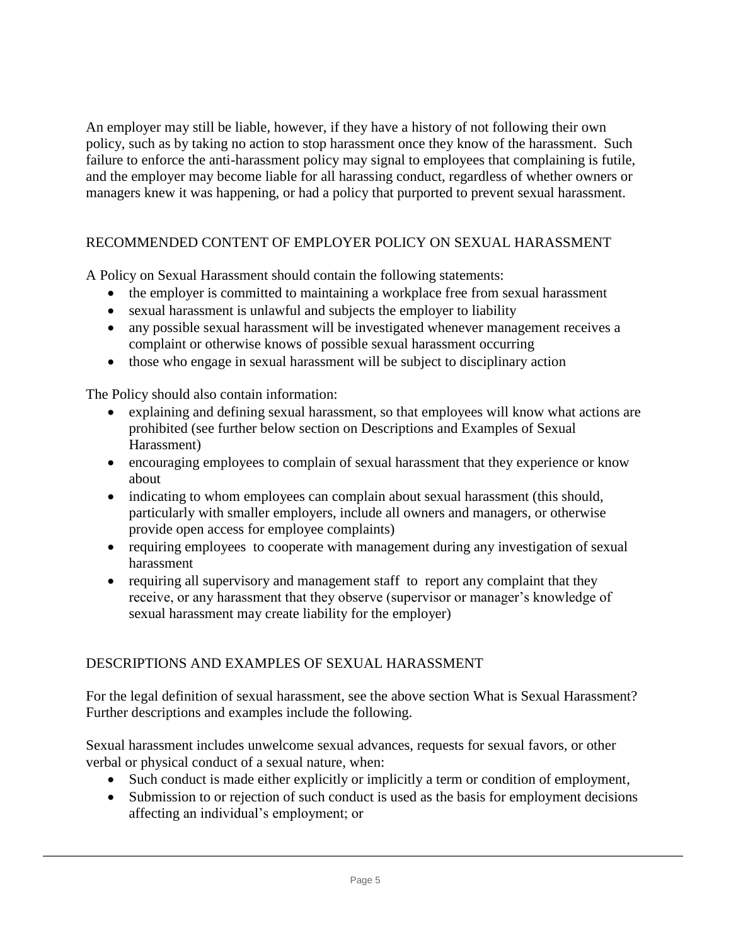An employer may still be liable, however, if they have a history of not following their own policy, such as by taking no action to stop harassment once they know of the harassment. Such failure to enforce the anti-harassment policy may signal to employees that complaining is futile, and the employer may become liable for all harassing conduct, regardless of whether owners or managers knew it was happening, or had a policy that purported to prevent sexual harassment.

# RECOMMENDED CONTENT OF EMPLOYER POLICY ON SEXUAL HARASSMENT

A Policy on Sexual Harassment should contain the following statements:

- the employer is committed to maintaining a workplace free from sexual harassment
- sexual harassment is unlawful and subjects the employer to liability
- any possible sexual harassment will be investigated whenever management receives a complaint or otherwise knows of possible sexual harassment occurring
- those who engage in sexual harassment will be subject to disciplinary action

The Policy should also contain information:

- explaining and defining sexual harassment, so that employees will know what actions are prohibited (see further below section on Descriptions and Examples of Sexual Harassment)
- encouraging employees to complain of sexual harassment that they experience or know about
- indicating to whom employees can complain about sexual harassment (this should, particularly with smaller employers, include all owners and managers, or otherwise provide open access for employee complaints)
- requiring employees to cooperate with management during any investigation of sexual harassment
- requiring all supervisory and management staff to report any complaint that they receive, or any harassment that they observe (supervisor or manager's knowledge of sexual harassment may create liability for the employer)

### DESCRIPTIONS AND EXAMPLES OF SEXUAL HARASSMENT

For the legal definition of sexual harassment, see the above section What is Sexual Harassment? Further descriptions and examples include the following.

Sexual harassment includes unwelcome sexual advances, requests for sexual favors, or other verbal or physical conduct of a sexual nature, when:

- Such conduct is made either explicitly or implicitly a term or condition of employment,
- Submission to or rejection of such conduct is used as the basis for employment decisions affecting an individual's employment; or